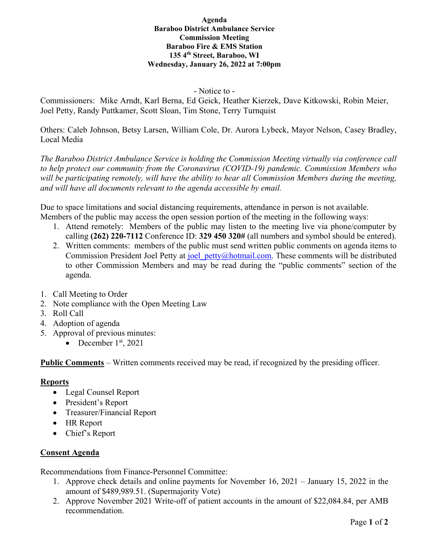#### **Agenda Baraboo District Ambulance Service Commission Meeting Baraboo Fire & EMS Station 135 4th Street, Baraboo, WI Wednesday, January 26, 2022 at 7:00pm**

#### - Notice to -

Commissioners: Mike Arndt, Karl Berna, Ed Geick, Heather Kierzek, Dave Kitkowski, Robin Meier, Joel Petty, Randy Puttkamer, Scott Sloan, Tim Stone, Terry Turnquist

Others: Caleb Johnson, Betsy Larsen, William Cole, Dr. Aurora Lybeck, Mayor Nelson, Casey Bradley, Local Media

*The Baraboo District Ambulance Service is holding the Commission Meeting virtually via conference call to help protect our community from the Coronavirus (COVID-19) pandemic. Commission Members who will be participating remotely, will have the ability to hear all Commission Members during the meeting, and will have all documents relevant to the agenda accessible by email.* 

Due to space limitations and social distancing requirements, attendance in person is not available. Members of the public may access the open session portion of the meeting in the following ways:

- 1. Attend remotely: Members of the public may listen to the meeting live via phone/computer by calling **(262) 220-7112** Conference ID: **329 450 320#** (all numbers and symbol should be entered).
- 2. Written comments: members of the public must send written public comments on agenda items to Commission President Joel Petty at joel petty@hotmail.com. These comments will be distributed to other Commission Members and may be read during the "public comments" section of the agenda.
- 1. Call Meeting to Order
- 2. Note compliance with the Open Meeting Law
- 3. Roll Call
- 4. Adoption of agenda
- 5. Approval of previous minutes:
	- December  $1<sup>st</sup>$ , 2021

**Public Comments** – Written comments received may be read, if recognized by the presiding officer.

### **Reports**

- Legal Counsel Report
- President's Report
- Treasurer/Financial Report
- HR Report
- Chief's Report

### **Consent Agenda**

Recommendations from Finance-Personnel Committee:

- 1. Approve check details and online payments for November 16, 2021 January 15, 2022 in the amount of \$489,989.51. (Supermajority Vote)
- 2. Approve November 2021 Write-off of patient accounts in the amount of \$22,084.84, per AMB recommendation.